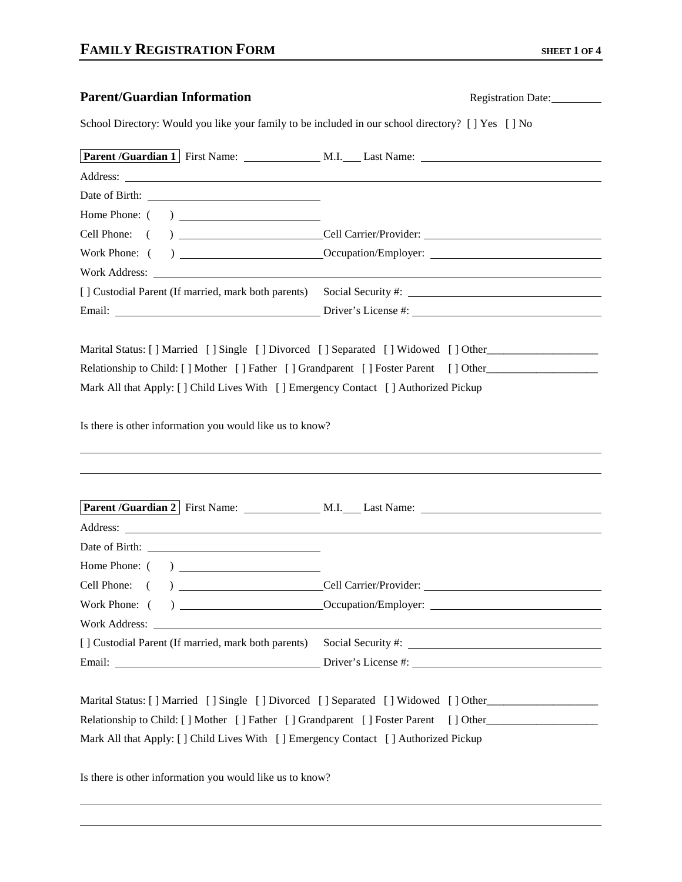| <b>Parent/Guardian Information</b>                                                                                                                                                                                                   |  | Registration Date:                                                                                                                                                       |
|--------------------------------------------------------------------------------------------------------------------------------------------------------------------------------------------------------------------------------------|--|--------------------------------------------------------------------------------------------------------------------------------------------------------------------------|
| School Directory: Would you like your family to be included in our school directory? [ ] Yes [ ] No                                                                                                                                  |  |                                                                                                                                                                          |
|                                                                                                                                                                                                                                      |  | Parent /Guardian 1   First Name: M.I. Last Name: ________________________________                                                                                        |
| Address: <u>New York: Address: New York: New York: New York: New York: New York: New York: New York: New York: New York: New York: New York: New York: New York: New York: New York: New York: New York: New York: New York: New</u> |  |                                                                                                                                                                          |
|                                                                                                                                                                                                                                      |  |                                                                                                                                                                          |
|                                                                                                                                                                                                                                      |  |                                                                                                                                                                          |
|                                                                                                                                                                                                                                      |  | Cell Phone: ( ) Cell Carrier/Provider:                                                                                                                                   |
|                                                                                                                                                                                                                                      |  |                                                                                                                                                                          |
| Work Address: Work Address:                                                                                                                                                                                                          |  |                                                                                                                                                                          |
| [] Custodial Parent (If married, mark both parents)                                                                                                                                                                                  |  |                                                                                                                                                                          |
|                                                                                                                                                                                                                                      |  |                                                                                                                                                                          |
| Mark All that Apply: [] Child Lives With [] Emergency Contact [] Authorized Pickup<br>Is there is other information you would like us to know?                                                                                       |  | Marital Status: [] Married [] Single [] Divorced [] Separated [] Widowed [] Other<br>Relationship to Child: [] Mother [] Father [] Grandparent [] Foster Parent [] Other |
|                                                                                                                                                                                                                                      |  |                                                                                                                                                                          |
|                                                                                                                                                                                                                                      |  |                                                                                                                                                                          |
| Home Phone: ()                                                                                                                                                                                                                       |  |                                                                                                                                                                          |
| Cell Phone: ( ) Cell Carrier/Provider:                                                                                                                                                                                               |  |                                                                                                                                                                          |
|                                                                                                                                                                                                                                      |  |                                                                                                                                                                          |
|                                                                                                                                                                                                                                      |  |                                                                                                                                                                          |
|                                                                                                                                                                                                                                      |  |                                                                                                                                                                          |
|                                                                                                                                                                                                                                      |  |                                                                                                                                                                          |
| Mark All that Apply: [] Child Lives With [] Emergency Contact [] Authorized Pickup                                                                                                                                                   |  | Marital Status: [] Married [] Single [] Divorced [] Separated [] Widowed [] Other<br>Relationship to Child: [] Mother [] Father [] Grandparent [] Foster Parent [] Other |
| Is there is other information you would like us to know?                                                                                                                                                                             |  |                                                                                                                                                                          |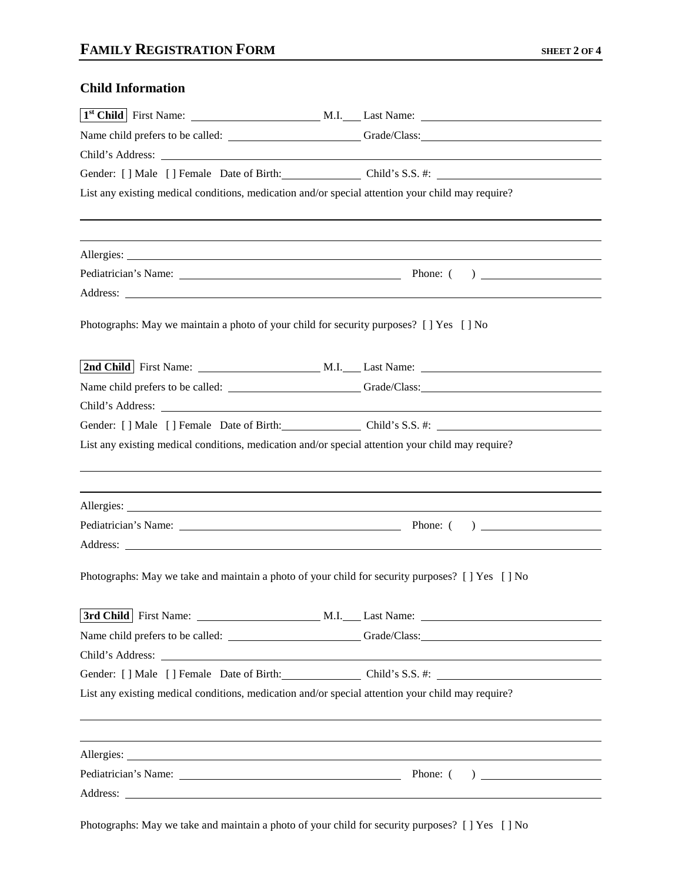## **Child Information**

|                                                                                                   | Gender: [] Male [] Female Date of Birth: Child's S.S. #: Child's S.S. . [2001]                   |
|---------------------------------------------------------------------------------------------------|--------------------------------------------------------------------------------------------------|
| List any existing medical conditions, medication and/or special attention your child may require? |                                                                                                  |
|                                                                                                   |                                                                                                  |
|                                                                                                   |                                                                                                  |
|                                                                                                   |                                                                                                  |
| Photographs: May we maintain a photo of your child for security purposes? [ ] Yes [ ] No          |                                                                                                  |
|                                                                                                   |                                                                                                  |
|                                                                                                   | Name child prefers to be called: Class: Grade/Class: Care Contains and Contains and Crack Class: |
|                                                                                                   |                                                                                                  |
|                                                                                                   | Gender: [] Male [] Female Date of Birth: Child's S.S. #:                                         |
| List any existing medical conditions, medication and/or special attention your child may require? |                                                                                                  |
|                                                                                                   |                                                                                                  |
|                                                                                                   |                                                                                                  |
|                                                                                                   |                                                                                                  |
| Photographs: May we take and maintain a photo of your child for security purposes? [ ] Yes [ ] No |                                                                                                  |
|                                                                                                   |                                                                                                  |
|                                                                                                   |                                                                                                  |
|                                                                                                   |                                                                                                  |
|                                                                                                   | Gender: [] Male [] Female Date of Birth: Child's S.S. #:                                         |
| List any existing medical conditions, medication and/or special attention your child may require? |                                                                                                  |
|                                                                                                   |                                                                                                  |
|                                                                                                   |                                                                                                  |
|                                                                                                   |                                                                                                  |

Photographs: May we take and maintain a photo of your child for security purposes? [ ] Yes [ ] No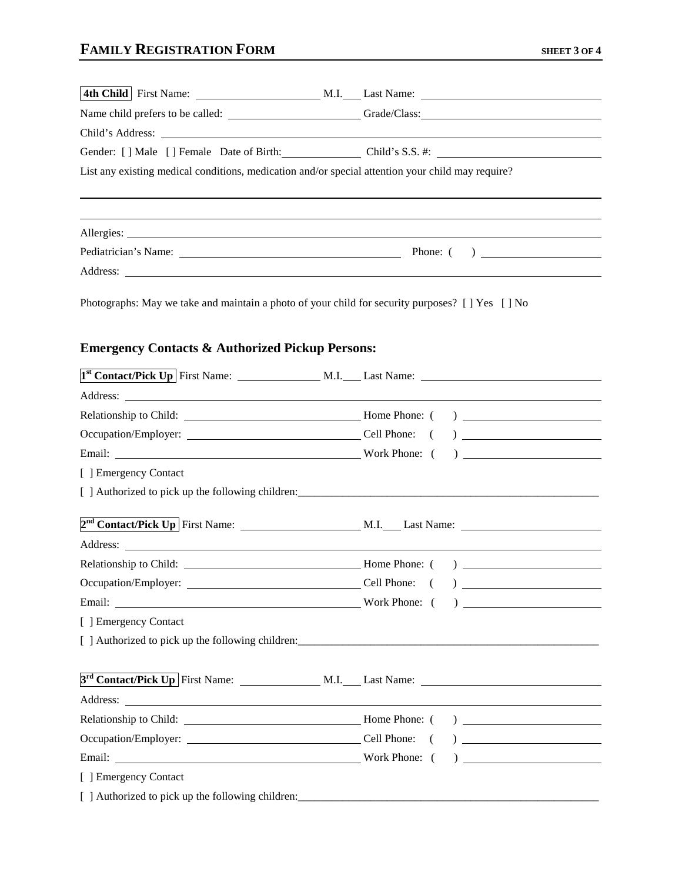|                                                                                                                                                                                                                                      | Name child prefers to be called: ______________________________Grade/Class: __________________________________ |
|--------------------------------------------------------------------------------------------------------------------------------------------------------------------------------------------------------------------------------------|----------------------------------------------------------------------------------------------------------------|
| Child's Address: <u>New York: 2008</u>                                                                                                                                                                                               |                                                                                                                |
|                                                                                                                                                                                                                                      | Gender: [] Male [] Female Date of Birth: Child's S.S. #:                                                       |
| List any existing medical conditions, medication and/or special attention your child may require?                                                                                                                                    |                                                                                                                |
|                                                                                                                                                                                                                                      |                                                                                                                |
|                                                                                                                                                                                                                                      |                                                                                                                |
|                                                                                                                                                                                                                                      | Address:                                                                                                       |
| Photographs: May we take and maintain a photo of your child for security purposes? [ ] Yes [ ] No<br><b>Emergency Contacts &amp; Authorized Pickup Persons:</b>                                                                      |                                                                                                                |
|                                                                                                                                                                                                                                      |                                                                                                                |
|                                                                                                                                                                                                                                      |                                                                                                                |
|                                                                                                                                                                                                                                      |                                                                                                                |
|                                                                                                                                                                                                                                      |                                                                                                                |
|                                                                                                                                                                                                                                      |                                                                                                                |
| [ ] Emergency Contact                                                                                                                                                                                                                |                                                                                                                |
|                                                                                                                                                                                                                                      |                                                                                                                |
|                                                                                                                                                                                                                                      |                                                                                                                |
|                                                                                                                                                                                                                                      |                                                                                                                |
|                                                                                                                                                                                                                                      |                                                                                                                |
|                                                                                                                                                                                                                                      |                                                                                                                |
|                                                                                                                                                                                                                                      |                                                                                                                |
| [ ] Emergency Contact                                                                                                                                                                                                                |                                                                                                                |
|                                                                                                                                                                                                                                      |                                                                                                                |
|                                                                                                                                                                                                                                      |                                                                                                                |
| Address: <u>the contract of the contract of the contract of the contract of the contract of the contract of the contract of the contract of the contract of the contract of the contract of the contract of the contract of the </u> |                                                                                                                |
|                                                                                                                                                                                                                                      |                                                                                                                |
|                                                                                                                                                                                                                                      |                                                                                                                |
|                                                                                                                                                                                                                                      |                                                                                                                |
| [ ] Emergency Contact                                                                                                                                                                                                                |                                                                                                                |
|                                                                                                                                                                                                                                      |                                                                                                                |